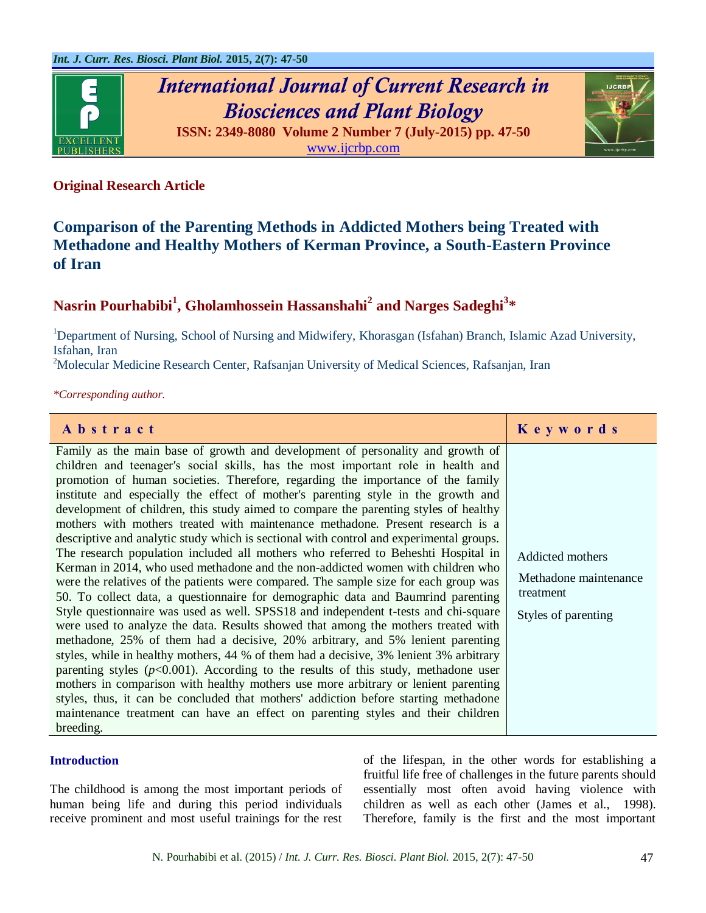

# *International Journal of Current Research in Biosciences and Plant Biology*





# **Original Research Article**

# **Comparison of the Parenting Methods in Addicted Mothers being Treated with Methadone and Healthy Mothers of Kerman Province, a South-Eastern Province of Iran**

# **Nasrin Pourhabibi<sup>1</sup> , Gholamhossein Hassanshahi<sup>2</sup> and Narges Sadeghi<sup>3</sup> \***

<sup>1</sup>Department of Nursing, School of Nursing and Midwifery, Khorasgan (Isfahan) Branch, Islamic Azad University, Isfahan, Iran

<sup>2</sup>Molecular Medicine Research Center, Rafsanjan University of Medical Sciences, Rafsanjan, Iran

*\*Corresponding author.*

| Abstract                                                                                                                                                                                                                                                                                                                                                                                                                                                                                                                                                                                                                                                                                                                                                                                                                                                                                                                                                                                                                                                                                                                                                                                                                                                                                                                                                                                                                                                                                                                                                                                                                                                                                           | Keywords                                                                      |
|----------------------------------------------------------------------------------------------------------------------------------------------------------------------------------------------------------------------------------------------------------------------------------------------------------------------------------------------------------------------------------------------------------------------------------------------------------------------------------------------------------------------------------------------------------------------------------------------------------------------------------------------------------------------------------------------------------------------------------------------------------------------------------------------------------------------------------------------------------------------------------------------------------------------------------------------------------------------------------------------------------------------------------------------------------------------------------------------------------------------------------------------------------------------------------------------------------------------------------------------------------------------------------------------------------------------------------------------------------------------------------------------------------------------------------------------------------------------------------------------------------------------------------------------------------------------------------------------------------------------------------------------------------------------------------------------------|-------------------------------------------------------------------------------|
| Family as the main base of growth and development of personality and growth of<br>children and teenager's social skills, has the most important role in health and<br>promotion of human societies. Therefore, regarding the importance of the family<br>institute and especially the effect of mother's parenting style in the growth and<br>development of children, this study aimed to compare the parenting styles of healthy<br>mothers with mothers treated with maintenance methadone. Present research is a<br>descriptive and analytic study which is sectional with control and experimental groups.<br>The research population included all mothers who referred to Beheshti Hospital in<br>Kerman in 2014, who used methadone and the non-addicted women with children who<br>were the relatives of the patients were compared. The sample size for each group was<br>50. To collect data, a questionnaire for demographic data and Baumrind parenting<br>Style questionnaire was used as well. SPSS18 and independent t-tests and chi-square<br>were used to analyze the data. Results showed that among the mothers treated with<br>methadone, 25% of them had a decisive, 20% arbitrary, and 5% lenient parenting<br>styles, while in healthy mothers, 44 % of them had a decisive, 3% lenient 3% arbitrary<br>parenting styles ( $p<0.001$ ). According to the results of this study, methodone user<br>mothers in comparison with healthy mothers use more arbitrary or lenient parenting<br>styles, thus, it can be concluded that mothers' addiction before starting methadone<br>maintenance treatment can have an effect on parenting styles and their children<br>breeding. | Addicted mothers<br>Methadone maintenance<br>treatment<br>Styles of parenting |

## **Introduction**

The childhood is among the most important periods of human being life and during this period individuals receive prominent and most useful trainings for the rest

of the lifespan, in the other words for establishing a fruitful life free of challenges in the future parents should essentially most often avoid having violence with children as well as each other (James et al., 1998). Therefore, family is the first and the most important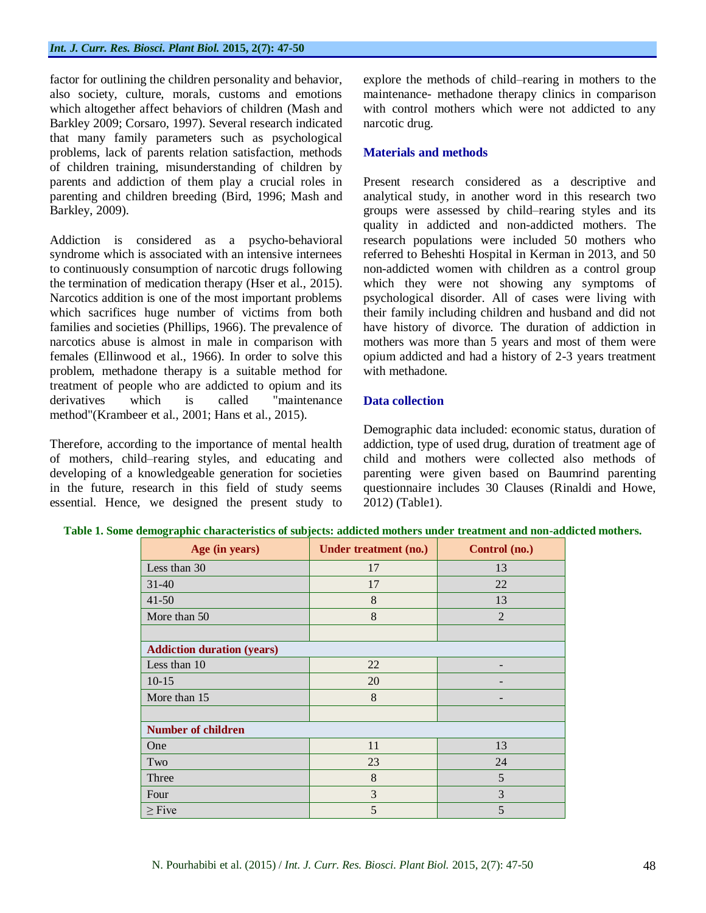factor for outlining the children personality and behavior, also society, culture, morals, customs and emotions which altogether affect behaviors of children (Mash and Barkley 2009; Corsaro, 1997). Several research indicated that many family parameters such as psychological problems, lack of parents relation satisfaction, methods of children training, misunderstanding of children by parents and addiction of them play a crucial roles in parenting and children breeding (Bird, 1996; Mash and Barkley, 2009).

Addiction is considered as a psycho-behavioral syndrome which is associated with an intensive internees to continuously consumption of narcotic drugs following the termination of medication therapy (Hser et al., 2015). Narcotics addition is one of the most important problems which sacrifices huge number of victims from both families and societies (Phillips, 1966). The prevalence of narcotics abuse is almost in male in comparison with females (Ellinwood et al., 1966). In order to solve this problem, methadone therapy is a suitable method for treatment of people who are addicted to opium and its derivatives which is called "maintenance method"(Krambeer et al., 2001; Hans et al., 2015).

Therefore, according to the importance of mental health of mothers, child–rearing styles, and educating and developing of a knowledgeable generation for societies in the future, research in this field of study seems essential. Hence, we designed the present study to explore the methods of child–rearing in mothers to the maintenance- methadone therapy clinics in comparison with control mothers which were not addicted to any narcotic drug.

## **Materials and methods**

Present research considered as a descriptive and analytical study, in another word in this research two groups were assessed by child–rearing styles and its quality in addicted and non-addicted mothers. The research populations were included 50 mothers who referred to Beheshti Hospital in Kerman in 2013, and 50 non-addicted women with children as a control group which they were not showing any symptoms of psychological disorder. All of cases were living with their family including children and husband and did not have history of divorce. The duration of addiction in mothers was more than 5 years and most of them were opium addicted and had a history of 2-3 years treatment with methadone.

# **Data collection**

Demographic data included: economic status, duration of addiction, type of used drug, duration of treatment age of child and mothers were collected also methods of parenting were given based on Baumrind parenting questionnaire includes 30 Clauses (Rinaldi and Howe, 2012) (Table1).

| Age (in years)                    | Under treatment (no.) | Control (no.) |  |  |  |
|-----------------------------------|-----------------------|---------------|--|--|--|
| Less than 30                      | 17                    | 13            |  |  |  |
| $31 - 40$                         | 17                    | 22            |  |  |  |
| $41 - 50$                         | 8                     | 13            |  |  |  |
| More than 50                      | 8                     | 2             |  |  |  |
|                                   |                       |               |  |  |  |
| <b>Addiction duration (years)</b> |                       |               |  |  |  |
| Less than 10                      | 22                    |               |  |  |  |
| $10-15$                           | 20                    |               |  |  |  |
| More than 15                      | 8                     |               |  |  |  |
|                                   |                       |               |  |  |  |
| <b>Number of children</b>         |                       |               |  |  |  |
| One                               | 11                    | 13            |  |  |  |
| Two                               | 23                    | 24            |  |  |  |
| Three                             | 8                     | 5             |  |  |  |
| Four                              | 3                     | 3             |  |  |  |
| $\geq$ Five                       | 5                     | 5             |  |  |  |

| Table 1. Some demographic characteristics of subjects: addicted mothers under treatment and non-addicted mothers. |  |
|-------------------------------------------------------------------------------------------------------------------|--|
|-------------------------------------------------------------------------------------------------------------------|--|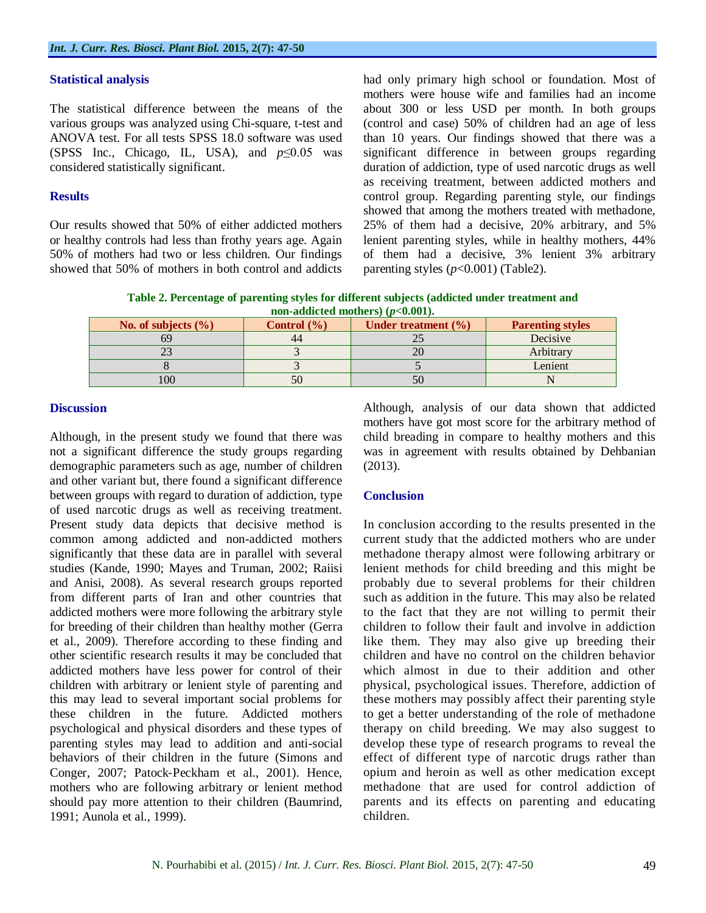#### **Statistical analysis**

The statistical difference between the means of the various groups was analyzed using Chi-square, t-test and ANOVA test. For all tests SPSS 18.0 software was used (SPSS Inc., Chicago, IL, USA), and *p*≤0.05 was considered statistically significant.

#### **Results**

Our results showed that 50% of either addicted mothers or healthy controls had less than frothy years age. Again 50% of mothers had two or less children. Our findings showed that 50% of mothers in both control and addicts had only primary high school or foundation. Most of mothers were house wife and families had an income about 300 or less USD per month. In both groups (control and case) 50% of children had an age of less than 10 years. Our findings showed that there was a significant difference in between groups regarding duration of addiction, type of used narcotic drugs as well as receiving treatment, between addicted mothers and control group. Regarding parenting style, our findings showed that among the mothers treated with methadone, 25% of them had a decisive, 20% arbitrary, and 5% lenient parenting styles, while in healthy mothers, 44% of them had a decisive, 3% lenient 3% arbitrary parenting styles  $(p<0.001)$  (Table2).

**Table 2. Percentage of parenting styles for different subjects (addicted under treatment and non-addicted mothers) (***p***<0.001).**

| No. of subjects $(\% )$ | Control $\left(\frac{9}{6}\right)$ | Under treatment $(\% )$ | <b>Parenting styles</b> |
|-------------------------|------------------------------------|-------------------------|-------------------------|
|                         | 44                                 |                         | Decisive                |
|                         |                                    |                         | Arbitrary               |
|                         |                                    |                         | Lenient                 |
| 100                     |                                    |                         |                         |

#### **Discussion**

Although, in the present study we found that there was not a significant difference the study groups regarding demographic parameters such as age, number of children and other variant but, there found a significant difference between groups with regard to duration of addiction, type of used narcotic drugs as well as receiving treatment. Present study data depicts that decisive method is common among addicted and non-addicted mothers significantly that these data are in parallel with several studies (Kande, 1990; Mayes and Truman, 2002; Raiisi and Anisi, 2008). As several research groups reported from different parts of Iran and other countries that addicted mothers were more following the arbitrary style for breeding of their children than healthy mother (Gerra et al., 2009). Therefore according to these finding and other scientific research results it may be concluded that addicted mothers have less power for control of their children with arbitrary or lenient style of parenting and this may lead to several important social problems for these children in the future. Addicted mothers psychological and physical disorders and these types of parenting styles may lead to addition and anti-social behaviors of their children in the future (Simons and Conger, 2007; Patock‐Peckham et al., 2001). Hence, mothers who are following arbitrary or lenient method should pay more attention to their children (Baumrind, 1991; Aunola et al., 1999).

Although, analysis of our data shown that addicted mothers have got most score for the arbitrary method of child breading in compare to healthy mothers and this was in agreement with results obtained by Dehbanian (2013).

# **Conclusion**

In conclusion according to the results presented in the current study that the addicted mothers who are under methadone therapy almost were following arbitrary or lenient methods for child breeding and this might be probably due to several problems for their children such as addition in the future. This may also be related to the fact that they are not willing to permit their children to follow their fault and involve in addiction like them. They may also give up breeding their children and have no control on the children behavior which almost in due to their addition and other physical, psychological issues. Therefore, addiction of these mothers may possibly affect their parenting style to get a better understanding of the role of methadone therapy on child breeding. We may also suggest to develop these type of research programs to reveal the effect of different type of narcotic drugs rather than opium and heroin as well as other medication except methadone that are used for control addiction of parents and its effects on parenting and educating children.